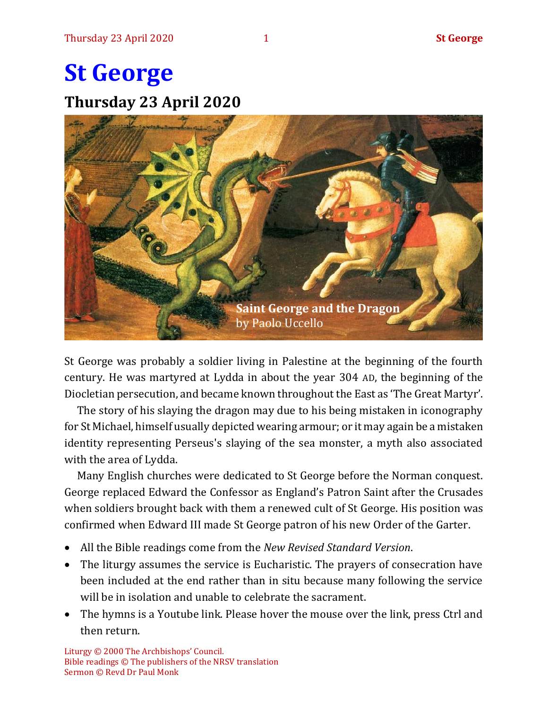# **St George**

### **Thursday 23 April 2020**



St George was probably a soldier living in Palestine at the beginning of the fourth century. He was martyred at Lydda in about the year 304 AD, the beginning of the Diocletian persecution, and became known throughout the East as 'The Great Martyr'.

The story of his slaying the dragon may due to his being mistaken in iconography for St Michael, himself usually depicted wearing armour; or it may again be a mistaken identity representing Perseus's slaying of the sea monster, a myth also associated with the area of Lydda.

Many English churches were dedicated to St George before the Norman conquest. George replaced Edward the Confessor as England's Patron Saint after the Crusades when soldiers brought back with them a renewed cult of St George. His position was confirmed when Edward III made St George patron of his new Order of the Garter.

- All the Bible readings come from the *New Revised Standard Version*.
- The liturgy assumes the service is Eucharistic. The prayers of consecration have been included at the end rather than in situ because many following the service will be in isolation and unable to celebrate the sacrament.
- The hymns is a Youtube link. Please hover the mouse over the link, press Ctrl and then return.

Liturgy © 2000 The Archbishops' Council. Bible readings © The publishers of the NRSV translation Sermon © Revd Dr Paul Monk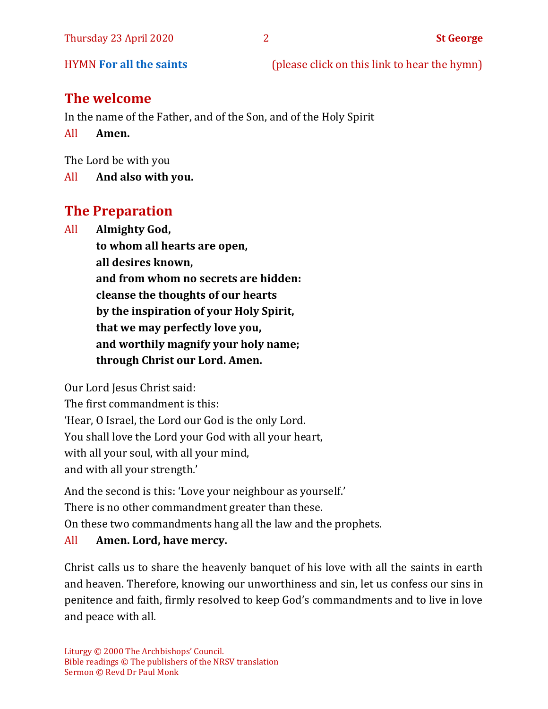HYMN **[For all the saints](https://www.youtube.com/watch?v=WbPshOGxpew)** (please click on this link to hear the hymn)

#### **The welcome**

In the name of the Father, and of the Son, and of the Holy Spirit

All **Amen.**

The Lord be with you

All **And also with you.**

#### **The Preparation**

All **Almighty God, to whom all hearts are open, all desires known, and from whom no secrets are hidden: cleanse the thoughts of our hearts by the inspiration of your Holy Spirit, that we may perfectly love you, and worthily magnify your holy name; through Christ our Lord. Amen.**

Our Lord Jesus Christ said:

The first commandment is this:

'Hear, O Israel, the Lord our God is the only Lord.

You shall love the Lord your God with all your heart,

with all your soul, with all your mind,

and with all your strength.'

And the second is this: 'Love your neighbour as yourself.'

There is no other commandment greater than these.

On these two commandments hang all the law and the prophets.

#### All **Amen. Lord, have mercy.**

Christ calls us to share the heavenly banquet of his love with all the saints in earth and heaven. Therefore, knowing our unworthiness and sin, let us confess our sins in penitence and faith, firmly resolved to keep God's commandments and to live in love and peace with all.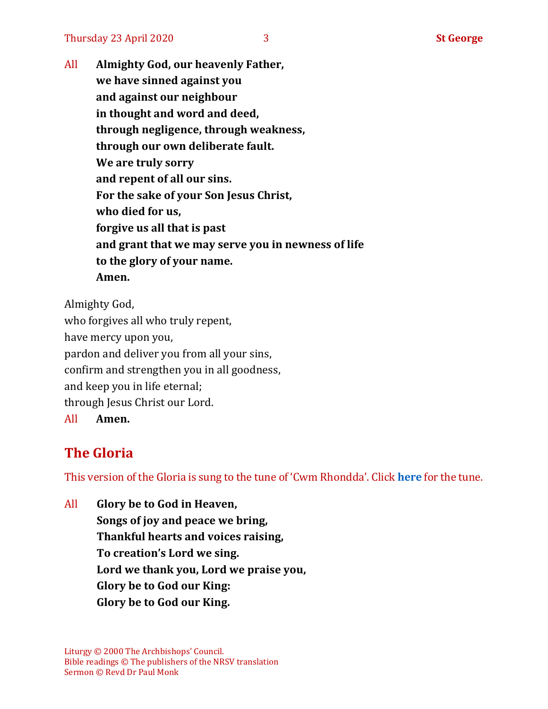All **Almighty God, our heavenly Father, we have sinned against you and against our neighbour in thought and word and deed, through negligence, through weakness, through our own deliberate fault. We are truly sorry and repent of all our sins. For the sake of your Son Jesus Christ, who died for us, forgive us all that is past and grant that we may serve you in newness of life to the glory of your name. Amen.**

Almighty God, who forgives all who truly repent, have mercy upon you, pardon and deliver you from all your sins, confirm and strengthen you in all goodness, and keep you in life eternal; through Jesus Christ our Lord. All **Amen.**

#### **The Gloria**

This version of the Gloria is sung to the tune of 'Cwm Rhondda'. Click **[here](https://www.youtube.com/watch?v=BtGhnEwY74E)** for the tune.

All **Glory be to God in Heaven, Songs of joy and peace we bring, Thankful hearts and voices raising, To creation's Lord we sing. Lord we thank you, Lord we praise you, Glory be to God our King: Glory be to God our King.**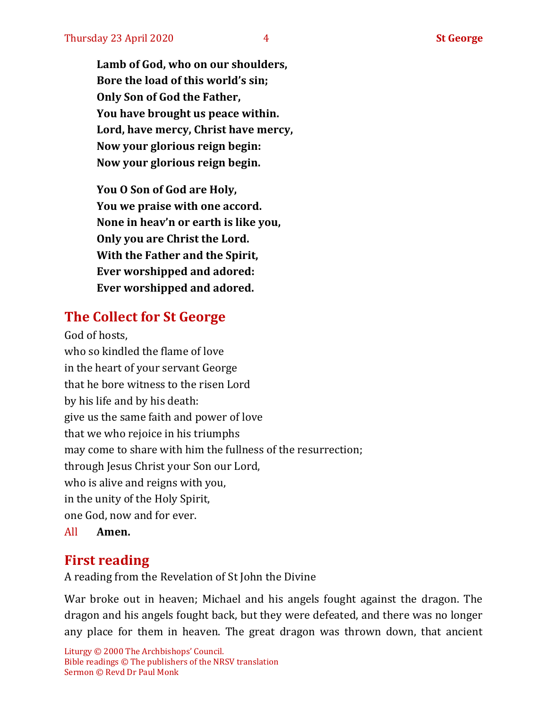**Lamb of God, who on our shoulders, Bore the load of this world's sin; Only Son of God the Father, You have brought us peace within. Lord, have mercy, Christ have mercy, Now your glorious reign begin: Now your glorious reign begin.**

**You O Son of God are Holy, You we praise with one accord. None in heav'n or earth is like you, Only you are Christ the Lord. With the Father and the Spirit, Ever worshipped and adored: Ever worshipped and adored.**

#### **The Collect for St George**

God of hosts, who so kindled the flame of love in the heart of your servant George that he bore witness to the risen Lord by his life and by his death: give us the same faith and power of love that we who rejoice in his triumphs may come to share with him the fullness of the resurrection; through Jesus Christ your Son our Lord, who is alive and reigns with you, in the unity of the Holy Spirit, one God, now and for ever. All **Amen.**

#### **First reading**

A reading from the Revelation of St John the Divine

War broke out in heaven; Michael and his angels fought against the dragon. The dragon and his angels fought back, but they were defeated, and there was no longer any place for them in heaven. The great dragon was thrown down, that ancient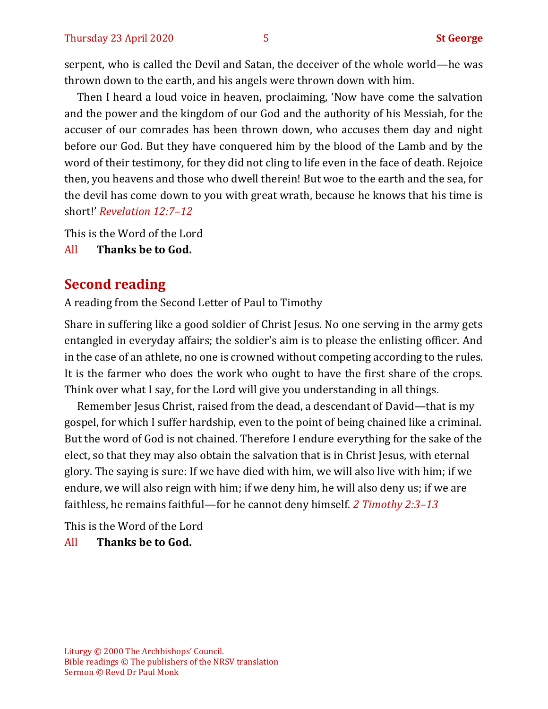serpent, who is called the Devil and Satan, the deceiver of the whole world—he was thrown down to the earth, and his angels were thrown down with him.

Then I heard a loud voice in heaven, proclaiming, 'Now have come the salvation and the power and the kingdom of our God and the authority of his Messiah, for the accuser of our comrades has been thrown down, who accuses them day and night before our God. But they have conquered him by the blood of the Lamb and by the word of their testimony, for they did not cling to life even in the face of death. Rejoice then, you heavens and those who dwell therein! But woe to the earth and the sea, for the devil has come down to you with great wrath, because he knows that his time is short!' *Revelation 12:7–12*

This is the Word of the Lord

All **Thanks be to God.**

#### **Second reading**

A reading from the Second Letter of Paul to Timothy

Share in suffering like a good soldier of Christ Jesus. No one serving in the army gets entangled in everyday affairs; the soldier's aim is to please the enlisting officer. And in the case of an athlete, no one is crowned without competing according to the rules. It is the farmer who does the work who ought to have the first share of the crops. Think over what I say, for the Lord will give you understanding in all things.

Remember Jesus Christ, raised from the dead, a descendant of David—that is my gospel, for which I suffer hardship, even to the point of being chained like a criminal. But the word of God is not chained. Therefore I endure everything for the sake of the elect, so that they may also obtain the salvation that is in Christ Jesus, with eternal glory. The saying is sure: If we have died with him, we will also live with him; if we endure, we will also reign with him; if we deny him, he will also deny us; if we are faithless, he remains faithful—for he cannot deny himself. *2 Timothy 2:3–13*

This is the Word of the Lord

All **Thanks be to God.**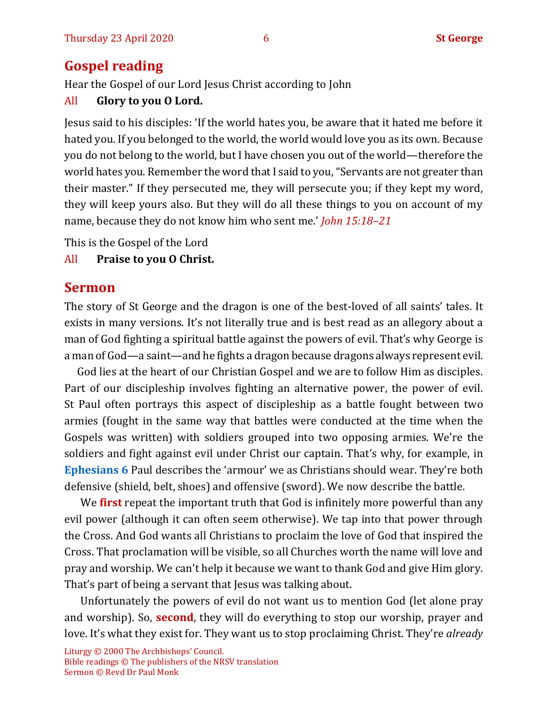#### **Gospel reading**

Hear the Gospel of our Lord Jesus Christ according to John

#### All **Glory to you O Lord.**

Jesus said to his disciples: 'If the world hates you, be aware that it hated me before it hated you. If you belonged to the world, the world would love you as its own. Because you do not belong to the world, but I have chosen you out of the world—therefore the world hates you. Remember the word that I said to you, "Servants are not greater than their master." If they persecuted me, they will persecute you; if they kept my word, they will keep yours also. But they will do all these things to you on account of my name, because they do not know him who sent me.' *John 15:18–21*

This is the Gospel of the Lord

#### All **Praise to you O Christ.**

#### **Sermon**

The story of St George and the dragon is one of the best-loved of all saints' tales. It exists in many versions. It's not literally true and is best read as an allegory about a man of God fighting a spiritual battle against the powers of evil. That's why George is a man of God—a saint—and he fights a dragon because dragons always represent evil.

God lies at the heart of our Christian Gospel and we are to follow Him as disciples. Part of our discipleship involves fighting an alternative power, the power of evil. St Paul often portrays this aspect of discipleship as a battle fought between two armies (fought in the same way that battles were conducted at the time when the Gospels was written) with soldiers grouped into two opposing armies. We're the soldiers and fight against evil under Christ our captain. That's why, for example, in **[Ephesians 6](https://www.biblegateway.com/passage/?search=Ephesians+6%3A10-18&version=NRSV)** Paul describes the 'armour' we as Christians should wear. They're both defensive (shield, belt, shoes) and offensive (sword). We now describe the battle.

We **first** repeat the important truth that God is infinitely more powerful than any evil power (although it can often seem otherwise). We tap into that power through the Cross. And God wants all Christians to proclaim the love of God that inspired the Cross. That proclamation will be visible, so all Churches worth the name will love and pray and worship. We can't help it because we want to thank God and give Him glory. That's part of being a servant that Jesus was talking about.

Unfortunately the powers of evil do not want us to mention God (let alone pray and worship). So, **second**, they will do everything to stop our worship, prayer and love. It's what they exist for. They want us to stop proclaiming Christ. They're *already*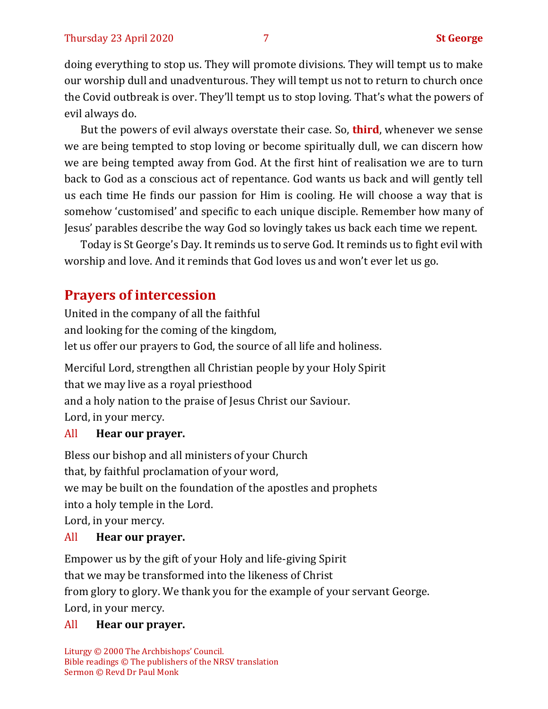doing everything to stop us. They will promote divisions. They will tempt us to make our worship dull and unadventurous. They will tempt us not to return to church once the Covid outbreak is over. They'll tempt us to stop loving. That's what the powers of evil always do.

But the powers of evil always overstate their case. So, **third**, whenever we sense we are being tempted to stop loving or become spiritually dull, we can discern how we are being tempted away from God. At the first hint of realisation we are to turn back to God as a conscious act of repentance. God wants us back and will gently tell us each time He finds our passion for Him is cooling. He will choose a way that is somehow 'customised' and specific to each unique disciple. Remember how many of Jesus' parables describe the way God so lovingly takes us back each time we repent.

Today is St George's Day. It reminds us to serve God. It reminds us to fight evil with worship and love. And it reminds that God loves us and won't ever let us go.

#### **Prayers of intercession**

United in the company of all the faithful and looking for the coming of the kingdom, let us offer our prayers to God, the source of all life and holiness.

Merciful Lord, strengthen all Christian people by your Holy Spirit that we may live as a royal priesthood and a holy nation to the praise of Jesus Christ our Saviour. Lord, in your mercy.

#### All **Hear our prayer.**

Bless our bishop and all ministers of your Church that, by faithful proclamation of your word, we may be built on the foundation of the apostles and prophets into a holy temple in the Lord. Lord, in your mercy.

#### All **Hear our prayer.**

Empower us by the gift of your Holy and life-giving Spirit that we may be transformed into the likeness of Christ from glory to glory. We thank you for the example of your servant George. Lord, in your mercy.

#### All **Hear our prayer.**

Liturgy © 2000 The Archbishops' Council. Bible readings © The publishers of the NRSV translation Sermon © Revd Dr Paul Monk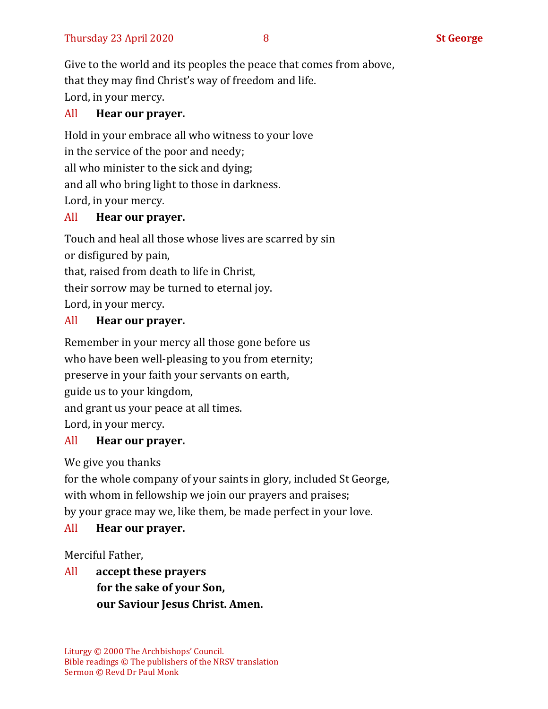Give to the world and its peoples the peace that comes from above, that they may find Christ's way of freedom and life. Lord, in your mercy.

#### All **Hear our prayer.**

Hold in your embrace all who witness to your love in the service of the poor and needy; all who minister to the sick and dying; and all who bring light to those in darkness. Lord, in your mercy.

#### All **Hear our prayer.**

Touch and heal all those whose lives are scarred by sin or disfigured by pain,

that, raised from death to life in Christ,

their sorrow may be turned to eternal joy.

Lord, in your mercy.

#### All **Hear our prayer.**

Remember in your mercy all those gone before us who have been well-pleasing to you from eternity; preserve in your faith your servants on earth, guide us to your kingdom, and grant us your peace at all times. Lord, in your mercy.

#### All **Hear our prayer.**

We give you thanks

for the whole company of your saints in glory, included St George, with whom in fellowship we join our prayers and praises; by your grace may we, like them, be made perfect in your love.

#### All **Hear our prayer.**

Merciful Father,

All **accept these prayers for the sake of your Son, our Saviour Jesus Christ. Amen.**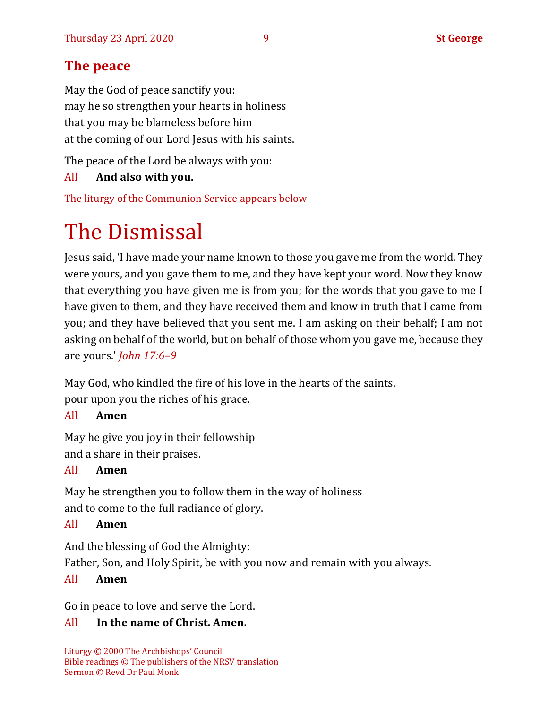#### **The peace**

May the God of peace sanctify you: may he so strengthen your hearts in holiness that you may be blameless before him at the coming of our Lord Jesus with his saints.

The peace of the Lord be always with you:

All **And also with you.**

The liturgy of the Communion Service appears below

# The Dismissal

Jesus said, 'I have made your name known to those you gave me from the world. They were yours, and you gave them to me, and they have kept your word. Now they know that everything you have given me is from you; for the words that you gave to me I have given to them, and they have received them and know in truth that I came from you; and they have believed that you sent me. I am asking on their behalf; I am not asking on behalf of the world, but on behalf of those whom you gave me, because they are yours.' *John 17:6–9*

May God, who kindled the fire of his love in the hearts of the saints, pour upon you the riches of his grace.

#### All **Amen**

May he give you joy in their fellowship and a share in their praises.

#### All **Amen**

May he strengthen you to follow them in the way of holiness and to come to the full radiance of glory.

#### All **Amen**

And the blessing of God the Almighty:

Father, Son, and Holy Spirit, be with you now and remain with you always.

#### All **Amen**

Go in peace to love and serve the Lord.

#### All **In the name of Christ. Amen.**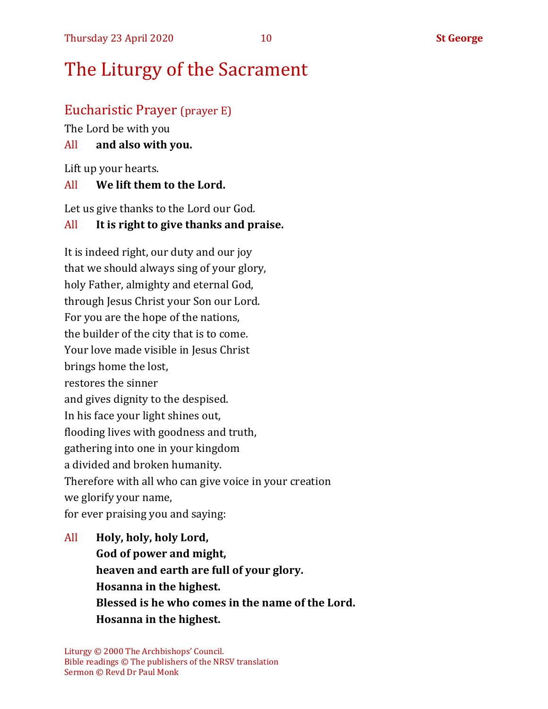## The Liturgy of the Sacrament

#### Eucharistic Prayer (prayer E)

The Lord be with you

#### All **and also with you.**

Lift up your hearts.

#### All **We lift them to the Lord.**

Let us give thanks to the Lord our God.

#### All **It is right to give thanks and praise.**

It is indeed right, our duty and our joy that we should always sing of your glory, holy Father, almighty and eternal God, through Jesus Christ your Son our Lord. For you are the hope of the nations, the builder of the city that is to come. Your love made visible in Jesus Christ brings home the lost, restores the sinner and gives dignity to the despised. In his face your light shines out, flooding lives with goodness and truth, gathering into one in your kingdom a divided and broken humanity. Therefore with all who can give voice in your creation we glorify your name, for ever praising you and saying:

All **Holy, holy, holy Lord, God of power and might, heaven and earth are full of your glory. Hosanna in the highest. Blessed is he who comes in the name of the Lord. Hosanna in the highest.**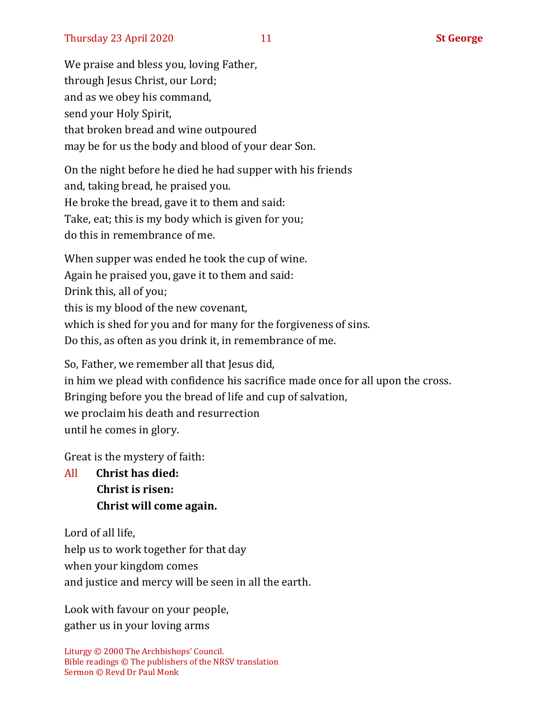We praise and bless you, loving Father, through Jesus Christ, our Lord; and as we obey his command, send your Holy Spirit, that broken bread and wine outpoured may be for us the body and blood of your dear Son.

On the night before he died he had supper with his friends and, taking bread, he praised you. He broke the bread, gave it to them and said: Take, eat; this is my body which is given for you; do this in remembrance of me.

When supper was ended he took the cup of wine. Again he praised you, gave it to them and said: Drink this, all of you; this is my blood of the new covenant, which is shed for you and for many for the forgiveness of sins. Do this, as often as you drink it, in remembrance of me.

So, Father, we remember all that Jesus did, in him we plead with confidence his sacrifice made once for all upon the cross. Bringing before you the bread of life and cup of salvation, we proclaim his death and resurrection until he comes in glory.

Great is the mystery of faith:

All **Christ has died: Christ is risen: Christ will come again.**

Lord of all life, help us to work together for that day when your kingdom comes and justice and mercy will be seen in all the earth.

Look with favour on your people, gather us in your loving arms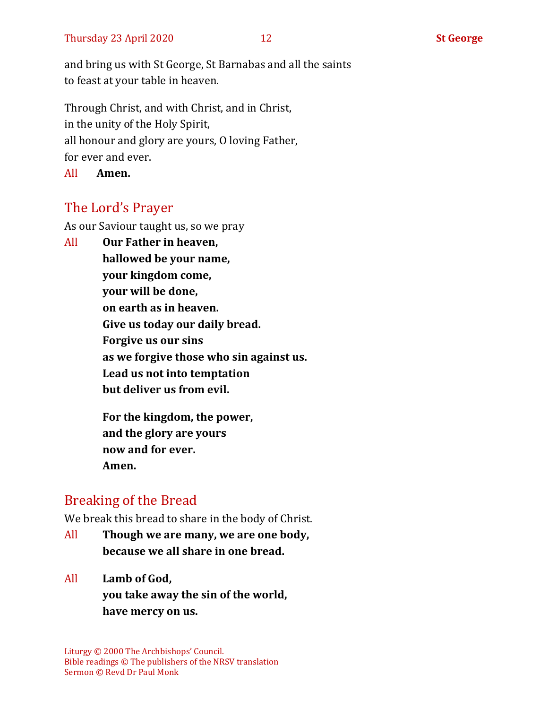and bring us with St George, St Barnabas and all the saints to feast at your table in heaven.

Through Christ, and with Christ, and in Christ, in the unity of the Holy Spirit, all honour and glory are yours, O loving Father, for ever and ever.

All **Amen.**

#### The Lord's Prayer

As our Saviour taught us, so we pray

All **Our Father in heaven, hallowed be your name, your kingdom come, your will be done, on earth as in heaven. Give us today our daily bread. Forgive us our sins as we forgive those who sin against us. Lead us not into temptation but deliver us from evil.**

> **For the kingdom, the power, and the glory are yours now and for ever. Amen.**

#### Breaking of the Bread

We break this bread to share in the body of Christ.

All **Though we are many, we are one body, because we all share in one bread.**

#### All **Lamb of God, you take away the sin of the world, have mercy on us.**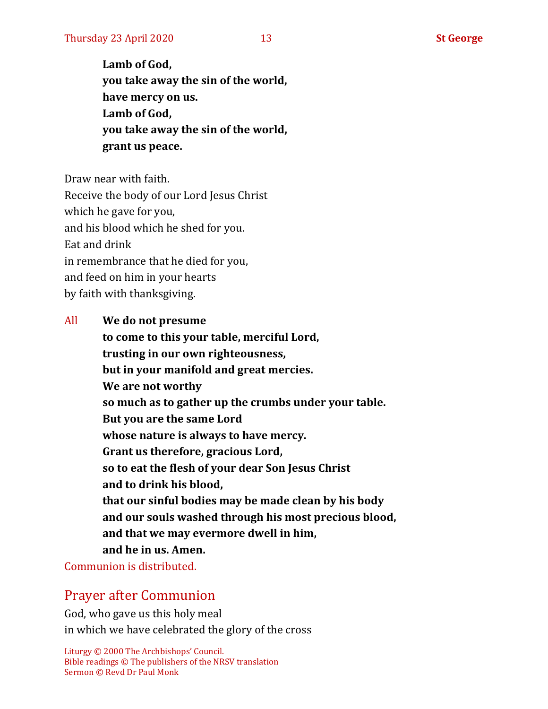**Lamb of God, you take away the sin of the world, have mercy on us. Lamb of God, you take away the sin of the world, grant us peace.**

Draw near with faith.

Receive the body of our Lord Jesus Christ

which he gave for you,

and his blood which he shed for you.

Eat and drink

in remembrance that he died for you,

and feed on him in your hearts

by faith with thanksgiving.

All **We do not presume to come to this your table, merciful Lord, trusting in our own righteousness, but in your manifold and great mercies. We are not worthy so much as to gather up the crumbs under your table. But you are the same Lord whose nature is always to have mercy. Grant us therefore, gracious Lord, so to eat the flesh of your dear Son Jesus Christ and to drink his blood, that our sinful bodies may be made clean by his body and our souls washed through his most precious blood, and that we may evermore dwell in him, and he in us. Amen.**

Communion is distributed.

#### Prayer after Communion

God, who gave us this holy meal in which we have celebrated the glory of the cross